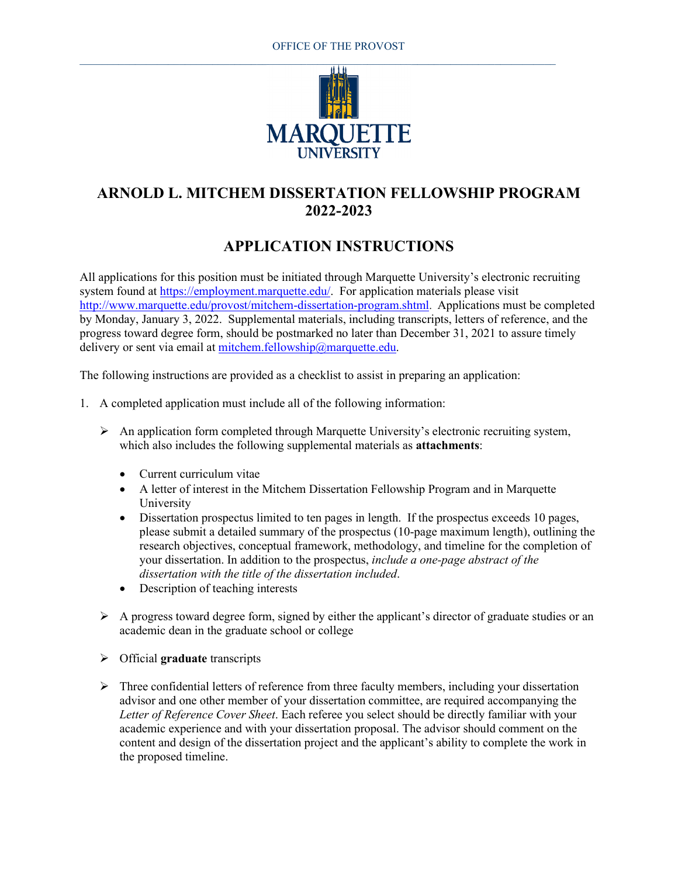

## **ARNOLD L. MITCHEM DISSERTATION FELLOWSHIP PROGRAM 2022-2023**

## **APPLICATION INSTRUCTIONS**

All applications for this position must be initiated through Marquette University's electronic recruiting system found at [https://employment.marquette.edu/.](https://employment.marquette.edu/) For application materials please visit [http://www.marquette.edu/provost/mitchem-dissertation-program.shtml.](http://www.marquette.edu/provost/mitchem-dissertation-program.shtml) Applications must be completed by Monday, January 3, 2022. Supplemental materials, including transcripts, letters of reference, and the progress toward degree form, should be postmarked no later than December 31, 2021 to assure timely delivery or sent via email at [mitchem.fellowship@marquette.edu.](mailto:mitchem.fellowship@marquette.edu)

The following instructions are provided as a checklist to assist in preparing an application:

- 1. A completed application must include all of the following information:
	- $\triangleright$  An application form completed through Marquette University's electronic recruiting system, which also includes the following supplemental materials as **attachments**:
		- Current curriculum vitae
		- A letter of interest in the Mitchem Dissertation Fellowship Program and in Marquette University
		- Dissertation prospectus limited to ten pages in length. If the prospectus exceeds 10 pages, please submit a detailed summary of the prospectus (10-page maximum length), outlining the research objectives, conceptual framework, methodology, and timeline for the completion of your dissertation. In addition to the prospectus, *include a one-page abstract of the dissertation with the title of the dissertation included*.
		- Description of teaching interests
	- $\triangleright$  A progress toward degree form, signed by either the applicant's director of graduate studies or an academic dean in the graduate school or college
	- Official **graduate** transcripts
	- $\triangleright$  Three confidential letters of reference from three faculty members, including your dissertation advisor and one other member of your dissertation committee, are required accompanying the *Letter of Reference Cover Sheet*. Each referee you select should be directly familiar with your academic experience and with your dissertation proposal. The advisor should comment on the content and design of the dissertation project and the applicant's ability to complete the work in the proposed timeline.